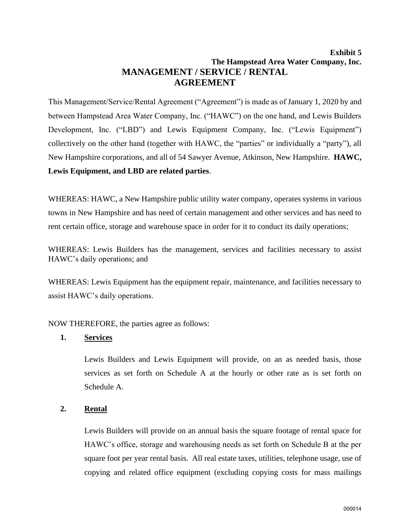# **Exhibit 5 The Hampstead Area Water Company, Inc. MANAGEMENT / SERVICE / RENTAL AGREEMENT**

This Management/Service/Rental Agreement ("Agreement") is made as of January 1, 2020 by and between Hampstead Area Water Company, Inc. ("HAWC") on the one hand, and Lewis Builders Development, Inc. ("LBD") and Lewis Equipment Company, Inc. ("Lewis Equipment") collectively on the other hand (together with HAWC, the "parties" or individually a "party"), all New Hampshire corporations, and all of 54 Sawyer Avenue, Atkinson, New Hampshire. **HAWC, Lewis Equipment, and LBD are related parties**.

WHEREAS: HAWC, a New Hampshire public utility water company, operates systems in various towns in New Hampshire and has need of certain management and other services and has need to rent certain office, storage and warehouse space in order for it to conduct its daily operations;

WHEREAS: Lewis Builders has the management, services and facilities necessary to assist HAWC's daily operations; and

WHEREAS: Lewis Equipment has the equipment repair, maintenance, and facilities necessary to assist HAWC's daily operations.

NOW THEREFORE, the parties agree as follows:

#### **1. Services**

Lewis Builders and Lewis Equipment will provide, on an as needed basis, those services as set forth on Schedule A at the hourly or other rate as is set forth on Schedule A.

## **2. Rental**

Lewis Builders will provide on an annual basis the square footage of rental space for HAWC's office, storage and warehousing needs as set forth on Schedule B at the per square foot per year rental basis. All real estate taxes, utilities, telephone usage, use of copying and related office equipment (excluding copying costs for mass mailings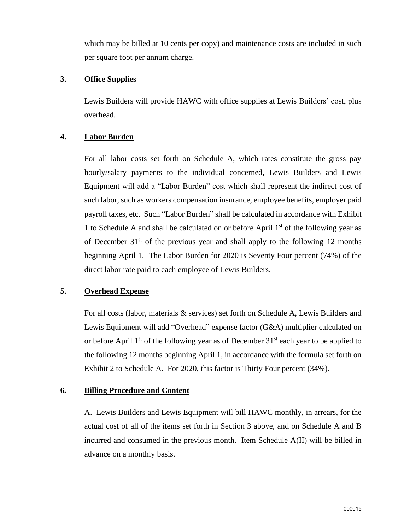which may be billed at 10 cents per copy) and maintenance costs are included in such per square foot per annum charge.

#### **3. Office Supplies**

Lewis Builders will provide HAWC with office supplies at Lewis Builders' cost, plus overhead.

## **4. Labor Burden**

For all labor costs set forth on Schedule A, which rates constitute the gross pay hourly/salary payments to the individual concerned, Lewis Builders and Lewis Equipment will add a "Labor Burden" cost which shall represent the indirect cost of such labor, such as workers compensation insurance, employee benefits, employer paid payroll taxes, etc. Such "Labor Burden" shall be calculated in accordance with Exhibit 1 to Schedule A and shall be calculated on or before April  $1<sup>st</sup>$  of the following year as of December  $31<sup>st</sup>$  of the previous year and shall apply to the following 12 months beginning April 1. The Labor Burden for 2020 is Seventy Four percent (74%) of the direct labor rate paid to each employee of Lewis Builders.

## **5. Overhead Expense**

For all costs (labor, materials & services) set forth on Schedule A, Lewis Builders and Lewis Equipment will add "Overhead" expense factor (G&A) multiplier calculated on or before April  $1<sup>st</sup>$  of the following year as of December  $31<sup>st</sup>$  each year to be applied to the following 12 months beginning April 1, in accordance with the formula set forth on Exhibit 2 to Schedule A. For 2020, this factor is Thirty Four percent (34%).

## **6. Billing Procedure and Content**

A. Lewis Builders and Lewis Equipment will bill HAWC monthly, in arrears, for the actual cost of all of the items set forth in Section 3 above, and on Schedule A and B incurred and consumed in the previous month. Item Schedule A(II) will be billed in advance on a monthly basis.